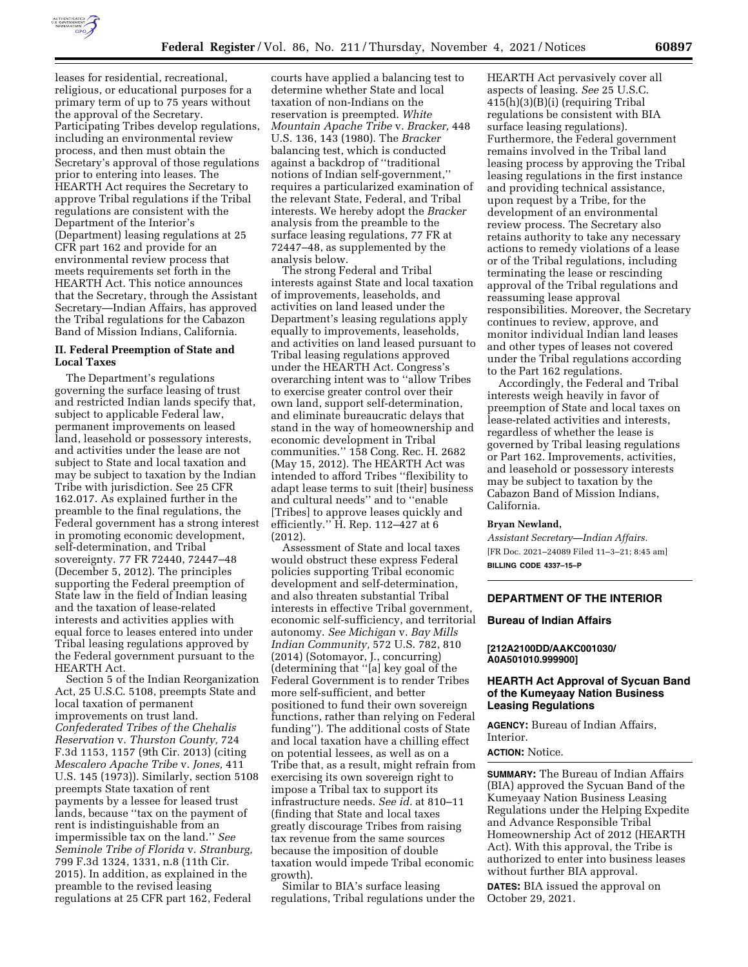

leases for residential, recreational, religious, or educational purposes for a primary term of up to 75 years without the approval of the Secretary. Participating Tribes develop regulations, including an environmental review process, and then must obtain the Secretary's approval of those regulations prior to entering into leases. The HEARTH Act requires the Secretary to approve Tribal regulations if the Tribal regulations are consistent with the Department of the Interior's (Department) leasing regulations at 25 CFR part 162 and provide for an environmental review process that meets requirements set forth in the HEARTH Act. This notice announces that the Secretary, through the Assistant Secretary—Indian Affairs, has approved the Tribal regulations for the Cabazon Band of Mission Indians, California.

## **II. Federal Preemption of State and Local Taxes**

The Department's regulations governing the surface leasing of trust and restricted Indian lands specify that, subject to applicable Federal law, permanent improvements on leased land, leasehold or possessory interests, and activities under the lease are not subject to State and local taxation and may be subject to taxation by the Indian Tribe with jurisdiction. See 25 CFR 162.017. As explained further in the preamble to the final regulations, the Federal government has a strong interest in promoting economic development, self-determination, and Tribal sovereignty. 77 FR 72440, 72447–48 (December 5, 2012). The principles supporting the Federal preemption of State law in the field of Indian leasing and the taxation of lease-related interests and activities applies with equal force to leases entered into under Tribal leasing regulations approved by the Federal government pursuant to the HEARTH Act.

Section 5 of the Indian Reorganization Act, 25 U.S.C. 5108, preempts State and local taxation of permanent improvements on trust land. *Confederated Tribes of the Chehalis Reservation* v. *Thurston County,* 724 F.3d 1153, 1157 (9th Cir. 2013) (citing *Mescalero Apache Tribe* v. *Jones,* 411 U.S. 145 (1973)). Similarly, section 5108 preempts State taxation of rent payments by a lessee for leased trust lands, because ''tax on the payment of rent is indistinguishable from an impermissible tax on the land.'' *See Seminole Tribe of Florida* v. *Stranburg,*  799 F.3d 1324, 1331, n.8 (11th Cir. 2015). In addition, as explained in the preamble to the revised leasing regulations at 25 CFR part 162, Federal

courts have applied a balancing test to determine whether State and local taxation of non-Indians on the reservation is preempted. *White Mountain Apache Tribe* v. *Bracker,* 448 U.S. 136, 143 (1980). The *Bracker*  balancing test, which is conducted against a backdrop of ''traditional notions of Indian self-government,'' requires a particularized examination of the relevant State, Federal, and Tribal interests. We hereby adopt the *Bracker*  analysis from the preamble to the surface leasing regulations, 77 FR at 72447–48, as supplemented by the analysis below.

The strong Federal and Tribal interests against State and local taxation of improvements, leaseholds, and activities on land leased under the Department's leasing regulations apply equally to improvements, leaseholds, and activities on land leased pursuant to Tribal leasing regulations approved under the HEARTH Act. Congress's overarching intent was to ''allow Tribes to exercise greater control over their own land, support self-determination, and eliminate bureaucratic delays that stand in the way of homeownership and economic development in Tribal communities.'' 158 Cong. Rec. H. 2682 (May 15, 2012). The HEARTH Act was intended to afford Tribes ''flexibility to adapt lease terms to suit [their] business and cultural needs'' and to ''enable [Tribes] to approve leases quickly and efficiently.'' H. Rep. 112–427 at 6 (2012).

Assessment of State and local taxes would obstruct these express Federal policies supporting Tribal economic development and self-determination, and also threaten substantial Tribal interests in effective Tribal government, economic self-sufficiency, and territorial autonomy. *See Michigan* v. *Bay Mills Indian Community,* 572 U.S. 782, 810 (2014) (Sotomayor, J., concurring) (determining that ''[a] key goal of the Federal Government is to render Tribes more self-sufficient, and better positioned to fund their own sovereign functions, rather than relying on Federal funding''). The additional costs of State and local taxation have a chilling effect on potential lessees, as well as on a Tribe that, as a result, might refrain from exercising its own sovereign right to impose a Tribal tax to support its infrastructure needs. *See id.* at 810–11 (finding that State and local taxes greatly discourage Tribes from raising tax revenue from the same sources because the imposition of double taxation would impede Tribal economic growth).

Similar to BIA's surface leasing regulations, Tribal regulations under the HEARTH Act pervasively cover all aspects of leasing. *See* 25 U.S.C. 415(h)(3)(B)(i) (requiring Tribal regulations be consistent with BIA surface leasing regulations). Furthermore, the Federal government remains involved in the Tribal land leasing process by approving the Tribal leasing regulations in the first instance and providing technical assistance, upon request by a Tribe, for the development of an environmental review process. The Secretary also retains authority to take any necessary actions to remedy violations of a lease or of the Tribal regulations, including terminating the lease or rescinding approval of the Tribal regulations and reassuming lease approval responsibilities. Moreover, the Secretary continues to review, approve, and monitor individual Indian land leases and other types of leases not covered under the Tribal regulations according to the Part 162 regulations.

Accordingly, the Federal and Tribal interests weigh heavily in favor of preemption of State and local taxes on lease-related activities and interests, regardless of whether the lease is governed by Tribal leasing regulations or Part 162. Improvements, activities, and leasehold or possessory interests may be subject to taxation by the Cabazon Band of Mission Indians, California.

#### **Bryan Newland,**

*Assistant Secretary—Indian Affairs.*  [FR Doc. 2021–24089 Filed 11–3–21; 8:45 am] **BILLING CODE 4337–15–P** 

# **DEPARTMENT OF THE INTERIOR**

#### **Bureau of Indian Affairs**

# **[212A2100DD/AAKC001030/ A0A501010.999900]**

# **HEARTH Act Approval of Sycuan Band of the Kumeyaay Nation Business Leasing Regulations**

**AGENCY:** Bureau of Indian Affairs, Interior.

### **ACTION:** Notice.

**SUMMARY:** The Bureau of Indian Affairs (BIA) approved the Sycuan Band of the Kumeyaay Nation Business Leasing Regulations under the Helping Expedite and Advance Responsible Tribal Homeownership Act of 2012 (HEARTH Act). With this approval, the Tribe is authorized to enter into business leases without further BIA approval.

**DATES:** BIA issued the approval on October 29, 2021.